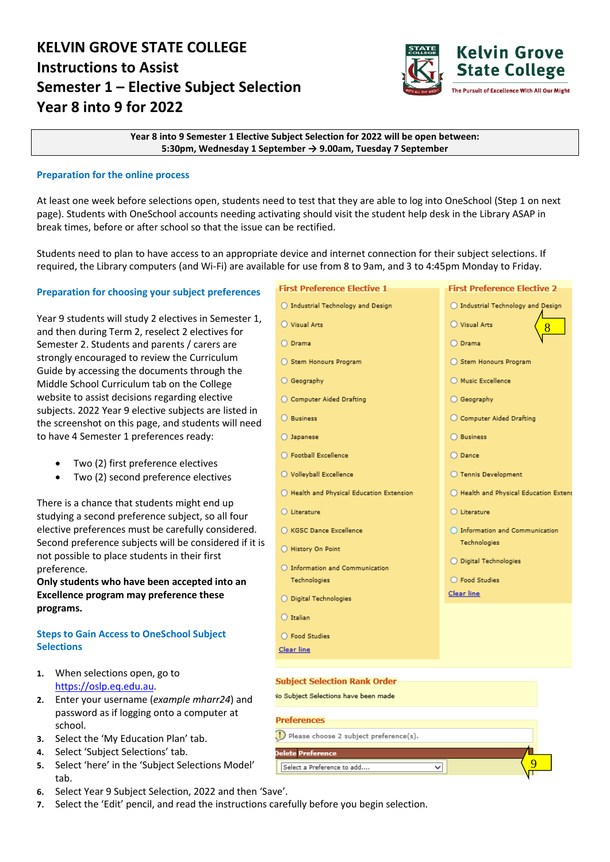# **KELVIN GROVE STATE COLLEGE Instructions to Assist Semester 1 – Elective Subject Selection Year 8 into 9 for 2022**



**Year 8 into 9 Semester 1 Elective Subject Selection for 2022 will be open between: 5:30pm, Wednesday 1 September → 9.00am, Tuesday 7 September**

#### **Preparation for the online process**

At least one week before selections open, students need to test that they are able to log into OneSchool (Step 1 on next page). Students with OneSchool accounts needing activating should visit the student help desk in the Library ASAP in break times, before or after school so that the issue can be rectified.

Students need to plan to have access to an appropriate device and internet connection for their subject selections. If required, the Library computers (and Wi-Fi) are available for use from 8 to 9am, and 3 to 4:45pm Monday to Friday.

#### **Preparation for choosing your subject preferences**

Year 9 students will study 2 electives in Semester 1, and then during Term 2, reselect 2 electives for Semester 2. Students and parents / carers are strongly encouraged to review the Curriculum Guide by accessing the documents through the Middle School Curriculum tab on the College website to assist decisions regarding elective subjects. 2022 Year 9 elective subjects are listed in the screenshot on this page, and students will need to have 4 Semester 1 preferences ready:

- Two (2) first preference electives
- Two (2) second preference electives

There is a chance that students might end up studying a second preference subject, so all four elective preferences must be carefully considered. Second preference subjects will be considered if it is not possible to place students in their first preference.

**Only students who have been accepted into an Excellence program may preference these programs.**

## **Steps to Gain Access to OneSchool Subject Selections**

- **1.** When selections open, go to [https://oslp.eq.edu.au.](https://oslp.eq.edu.au/)
- **2.** Enter your username (*example mharr24*) and password as if logging onto a computer at school.
- **3.** Select the 'My Education Plan' tab.
- **4.** Select 'Subject Selections' tab.
- **5.** Select 'here' in the 'Subject Selections Model' tab.
- **6.** Select Year 9 Subject Selection, 2022 and then 'Save'.
- **7.** Select the 'Edit' pencil, and read the instructions carefully before you begin selection.

#### **First Preference Elective 2 First Preference Flective 1** ○ Industrial Technology and Design O Industrial Technology and Design O Visual Arts O Visual Arts 8 O Drama O Drama ◯ Stem Honours Program ◯ Stem Honours Program O Geography O Music Excellence ○ Computer Aided Drafting ○ Geography  $O$  Business C Computer Aided Drafting O Japanese ◯ Business ○ Football Excellence  $O$  Dance O Volleyball Excellence ○ Tennis Development ◯ Health and Physical Education Extension ◯ Health and Physical Education Extens  $\bigcirc$  Literature O Literature ○ KGSC Dance Excellence O Information and Communication Technologies ○ History On Point ○ Digital Technologies O Information and Communication ○ Food Studies Technologies **Clear line** ○ Digital Technologies O Italian ○ Food Studies Clear line **Subject Selection Rank Order Vo Subiect Selections have been made Preferences**

ञ

() Please choose 2 subject preference(s).

Delete Preference

Select a Preference to add...

9